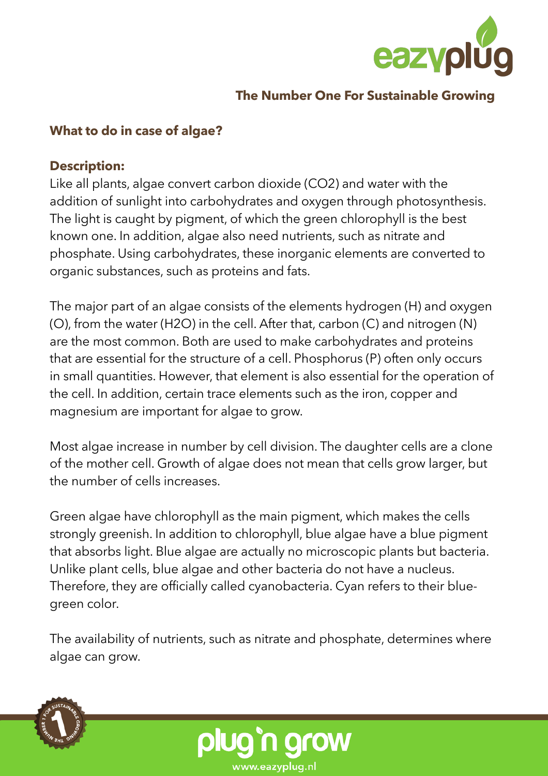

#### **The Number One For Sustainable Growing**

#### **What to do in case of algae?**

#### **Description:**

Like all plants, algae convert carbon dioxide (CO2) and water with the addition of sunlight into carbohydrates and oxygen through photosynthesis. The light is caught by pigment, of which the green chlorophyll is the best known one. In addition, algae also need nutrients, such as nitrate and phosphate. Using carbohydrates, these inorganic elements are converted to organic substances, such as proteins and fats.

The major part of an algae consists of the elements hydrogen (H) and oxygen (O), from the water (H2O) in the cell. After that, carbon (C) and nitrogen (N) are the most common. Both are used to make carbohydrates and proteins that are essential for the structure of a cell. Phosphorus (P) often only occurs in small quantities. However, that element is also essential for the operation of the cell. In addition, certain trace elements such as the iron, copper and magnesium are important for algae to grow.

Most algae increase in number by cell division. The daughter cells are a clone of the mother cell. Growth of algae does not mean that cells grow larger, but the number of cells increases.

Green algae have chlorophyll as the main pigment, which makes the cells strongly greenish. In addition to chlorophyll, blue algae have a blue pigment that absorbs light. Blue algae are actually no microscopic plants but bacteria. Unlike plant cells, blue algae and other bacteria do not have a nucleus. Therefore, they are officially called cyanobacteria. Cyan refers to their bluegreen color.

The availability of nutrients, such as nitrate and phosphate, determines where algae can grow.



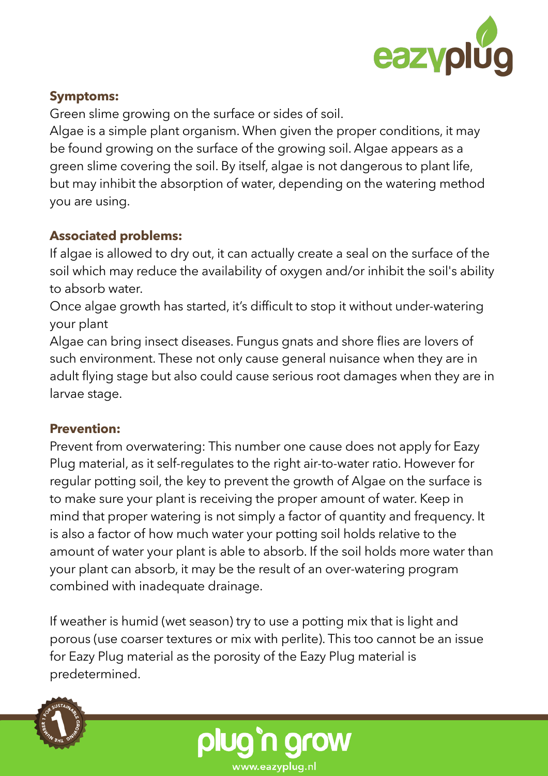

# **Symptoms:**

Green slime growing on the surface or sides of soil.

Algae is a simple plant organism. When given the proper conditions, it may be found growing on the surface of the growing soil. Algae appears as a green slime covering the soil. By itself, algae is not dangerous to plant life, but may inhibit the absorption of water, depending on the watering method you are using.

# **Associated problems:**

If algae is allowed to dry out, it can actually create a seal on the surface of the soil which may reduce the availability of oxygen and/or inhibit the soil's ability to absorb water.

Once algae growth has started, it's difficult to stop it without under-watering your plant

Algae can bring insect diseases. Fungus gnats and shore flies are lovers of such environment. These not only cause general nuisance when they are in adult flying stage but also could cause serious root damages when they are in larvae stage.

# **Prevention:**

Prevent from overwatering: This number one cause does not apply for Eazy Plug material, as it self-regulates to the right air-to-water ratio. However for regular potting soil, the key to prevent the growth of Algae on the surface is to make sure your plant is receiving the proper amount of water. Keep in mind that proper watering is not simply a factor of quantity and frequency. It is also a factor of how much water your potting soil holds relative to the amount of water your plant is able to absorb. If the soil holds more water than your plant can absorb, it may be the result of an over-watering program combined with inadequate drainage.

If weather is humid (wet season) try to use a potting mix that is light and porous (use coarser textures or mix with perlite). This too cannot be an issue for Eazy Plug material as the porosity of the Eazy Plug material is predetermined.